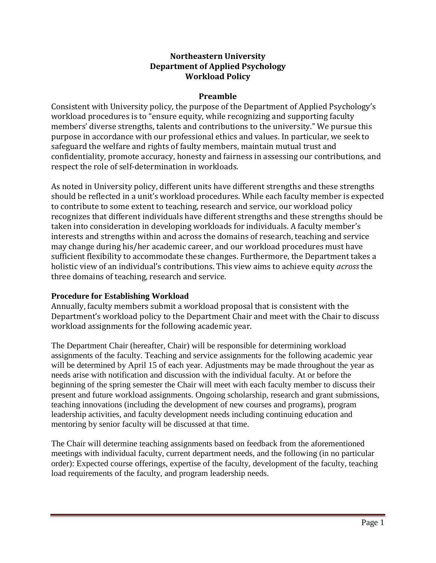## **Northeastern University Department of Applied Psychology Workload Policy**

## **Preamble**

Consistent with University policy, the purpose of the Department of Applied Psychology's workload procedures is to "ensure equity, while recognizing and supporting faculty members' diverse strengths, talents and contributions to the university." We pursue this purpose in accordance with our professional ethics and values. In particular, we seek to safeguard the welfare and rights of faulty members, maintain mutual trust and confidentiality, promote accuracy, honesty and fairness in assessing our contributions, and respect the role of self-determination in workloads.

As noted in University policy, different units have different strengths and these strengths should be reflected in a unit's workload procedures. While each faculty member is expected to contribute to some extent to teaching, research and service, our workload policy recognizes that different individuals have different strengths and these strengths should be taken into consideration in developing workloads for individuals. A faculty member's interests and strengths within and across the domains of research, teaching and service may change during his/her academic career, and our workload procedures must have sufficient flexibility to accommodate these changes. Furthermore, the Department takes a holistic view of an individual's contributions. This view aims to achieve equity *across* the three domains of teaching, research and service.

### **Procedure for Establishing Workload**

Annually, faculty members submit a workload proposal that is consistent with the Department's workload policy to the Department Chair and meet with the Chair to discuss workload assignments for the following academic year.

The Department Chair (hereafter, Chair) will be responsible for determining workload assignments of the faculty. Teaching and service assignments for the following academic year will be determined by April 15 of each year. Adjustments may be made throughout the year as needs arise with notification and discussion with the individual faculty. At or before the beginning of the spring semester the Chair will meet with each faculty member to discuss their present and future workload assignments. Ongoing scholarship, research and grant submissions, teaching innovations (including the development of new courses and programs), program leadership activities, and faculty development needs including continuing education and mentoring by senior faculty will be discussed at that time.

The Chair will determine teaching assignments based on feedback from the aforementioned meetings with individual faculty, current department needs, and the following (in no particular order): Expected course offerings, expertise of the faculty, development of the faculty, teaching load requirements of the faculty, and program leadership needs.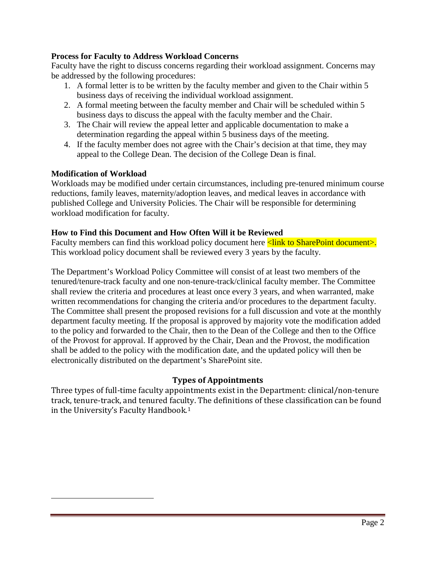### **Process for Faculty to Address Workload Concerns**

Faculty have the right to discuss concerns regarding their workload assignment. Concerns may be addressed by the following procedures:

- 1. A formal letter is to be written by the faculty member and given to the Chair within 5 business days of receiving the individual workload assignment.
- 2. A formal meeting between the faculty member and Chair will be scheduled within 5 business days to discuss the appeal with the faculty member and the Chair.
- 3. The Chair will review the appeal letter and applicable documentation to make a determination regarding the appeal within 5 business days of the meeting.
- 4. If the faculty member does not agree with the Chair's decision at that time, they may appeal to the College Dean. The decision of the College Dean is final.

### **Modification of Workload**

<span id="page-1-0"></span>i<br>I

Workloads may be modified under certain circumstances, including pre-tenured minimum course reductions, family leaves, maternity/adoption leaves, and medical leaves in accordance with published College and University Policies. The Chair will be responsible for determining workload modification for faculty.

### **How to Find this Document and How Often Will it be Reviewed**

Faculty members can find this workload policy document here  $\leq$  link to SharePoint document>. This workload policy document shall be reviewed every 3 years by the faculty.

The Department's Workload Policy Committee will consist of at least two members of the tenured/tenure-track faculty and one non-tenure-track/clinical faculty member. The Committee shall review the criteria and procedures at least once every 3 years, and when warranted, make written recommendations for changing the criteria and/or procedures to the department faculty. The Committee shall present the proposed revisions for a full discussion and vote at the monthly department faculty meeting. If the proposal is approved by majority vote the modification added to the policy and forwarded to the Chair, then to the Dean of the College and then to the Office of the Provost for approval. If approved by the Chair, Dean and the Provost, the modification shall be added to the policy with the modification date, and the updated policy will then be electronically distributed on the department's SharePoint site.

#### **Types of Appointments**

Three types of full-time faculty appointments exist in the Department: clinical/non-tenure track, tenure-track, and tenured faculty. The definitions of these classification can be found in the University's Faculty Handbook.[1](#page-1-0)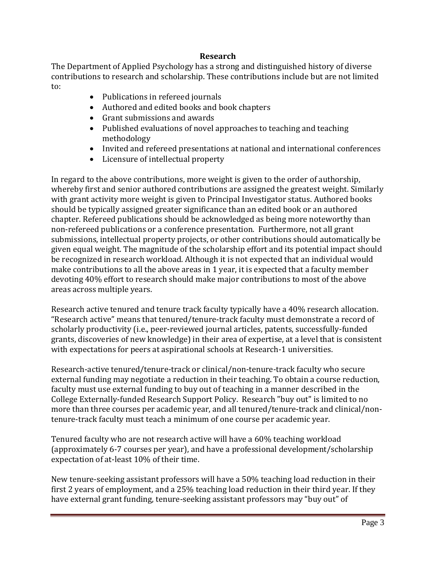### **Research**

The Department of Applied Psychology has a strong and distinguished history of diverse contributions to research and scholarship. These contributions include but are not limited to:

- Publications in refereed journals
- Authored and edited books and book chapters
- Grant submissions and awards
- Published evaluations of novel approaches to teaching and teaching methodology
- Invited and refereed presentations at national and international conferences
- Licensure of intellectual property

In regard to the above contributions, more weight is given to the order of authorship, whereby first and senior authored contributions are assigned the greatest weight. Similarly with grant activity more weight is given to Principal Investigator status. Authored books should be typically assigned greater significance than an edited book or an authored chapter. Refereed publications should be acknowledged as being more noteworthy than non-refereed publications or a conference presentation. Furthermore, not all grant submissions, intellectual property projects, or other contributions should automatically be given equal weight. The magnitude of the scholarship effort and its potential impact should be recognized in research workload. Although it is not expected that an individual would make contributions to all the above areas in 1 year, it is expected that a faculty member devoting 40% effort to research should make major contributions to most of the above areas across multiple years.

Research active tenured and tenure track faculty typically have a 40% research allocation. "Research active" means that tenured/tenure-track faculty must demonstrate a record of scholarly productivity (i.e., peer-reviewed journal articles, patents, successfully-funded grants, discoveries of new knowledge) in their area of expertise, at a level that is consistent with expectations for peers at aspirational schools at Research-1 universities.

Research-active tenured/tenure-track or clinical/non-tenure-track faculty who secure external funding may negotiate a reduction in their teaching. To obtain a course reduction, faculty must use external funding to buy out of teaching in a manner described in the College Externally-funded Research Support Policy. Research "buy out" is limited to no more than three courses per academic year, and all tenured/tenure-track and clinical/nontenure-track faculty must teach a minimum of one course per academic year.

Tenured faculty who are not research active will have a 60% teaching workload (approximately 6-7 courses per year), and have a professional development/scholarship expectation of at-least 10% of their time.

New tenure-seeking assistant professors will have a 50% teaching load reduction in their first 2 years of employment, and a 25% teaching load reduction in their third year. If they have external grant funding, tenure-seeking assistant professors may "buy out" of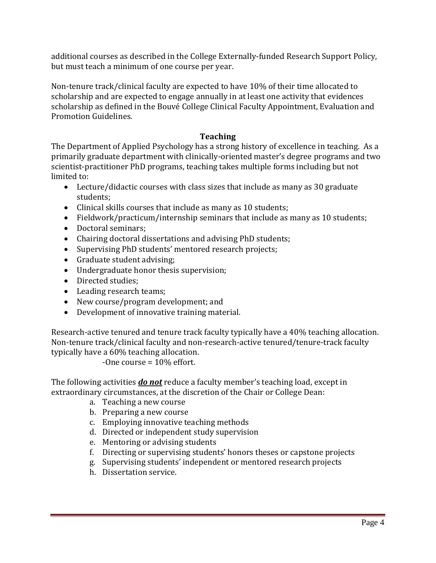additional courses as described in the College Externally-funded Research Support Policy, but must teach a minimum of one course per year.

Non-tenure track/clinical faculty are expected to have 10% of their time allocated to scholarship and are expected to engage annually in at least one activity that evidences scholarship as defined in the Bouvé College Clinical Faculty Appointment, Evaluation and Promotion Guidelines.

## **Teaching**

The Department of Applied Psychology has a strong history of excellence in teaching. As a primarily graduate department with clinically-oriented master's degree programs and two scientist-practitioner PhD programs, teaching takes multiple forms including but not limited to:

- Lecture/didactic courses with class sizes that include as many as 30 graduate students;
- Clinical skills courses that include as many as 10 students;
- Fieldwork/practicum/internship seminars that include as many as 10 students;
- Doctoral seminars;
- Chairing doctoral dissertations and advising PhD students;
- Supervising PhD students' mentored research projects;
- Graduate student advising;
- Undergraduate honor thesis supervision;
- Directed studies;
- Leading research teams;
- New course/program development; and
- Development of innovative training material.

Research-active tenured and tenure track faculty typically have a 40% teaching allocation. Non-tenure track/clinical faculty and non-research-active tenured/tenure-track faculty typically have a 60% teaching allocation.

-One course = 10% effort.

The following activities *do not* reduce a faculty member's teaching load, except in extraordinary circumstances, at the discretion of the Chair or College Dean:

- a. Teaching a new course
- b. Preparing a new course
- c. Employing innovative teaching methods
- d. Directed or independent study supervision
- e. Mentoring or advising students
- f. Directing or supervising students' honors theses or capstone projects
- g. Supervising students' independent or mentored research projects
- h. Dissertation service.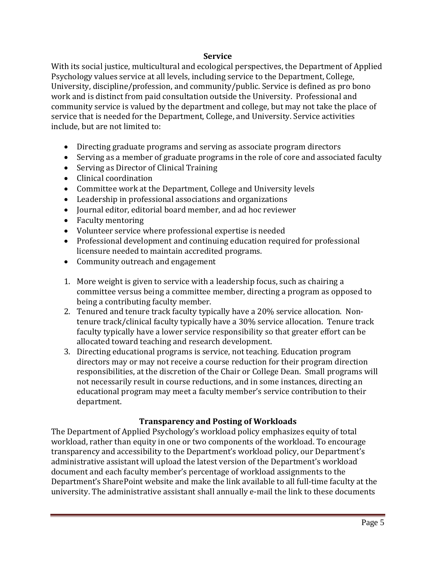### **Service**

With its social justice, multicultural and ecological perspectives, the Department of Applied Psychology values service at all levels, including service to the Department, College, University, discipline/profession, and community/public. Service is defined as pro bono work and is distinct from paid consultation outside the University. Professional and community service is valued by the department and college, but may not take the place of service that is needed for the Department, College, and University. Service activities include, but are not limited to:

- Directing graduate programs and serving as associate program directors
- Serving as a member of graduate programs in the role of core and associated faculty
- Serving as Director of Clinical Training
- Clinical coordination
- Committee work at the Department, College and University levels
- Leadership in professional associations and organizations
- Journal editor, editorial board member, and ad hoc reviewer
- Faculty mentoring
- Volunteer service where professional expertise is needed
- Professional development and continuing education required for professional licensure needed to maintain accredited programs.
- Community outreach and engagement
- 1. More weight is given to service with a leadership focus, such as chairing a committee versus being a committee member, directing a program as opposed to being a contributing faculty member.
- 2. Tenured and tenure track faculty typically have a 20% service allocation. Nontenure track/clinical faculty typically have a 30% service allocation. Tenure track faculty typically have a lower service responsibility so that greater effort can be allocated toward teaching and research development.
- 3. Directing educational programs is service, not teaching. Education program directors may or may not receive a course reduction for their program direction responsibilities, at the discretion of the Chair or College Dean. Small programs will not necessarily result in course reductions, and in some instances, directing an educational program may meet a faculty member's service contribution to their department.

# **Transparency and Posting of Workloads**

The Department of Applied Psychology's workload policy emphasizes equity of total workload, rather than equity in one or two components of the workload. To encourage transparency and accessibility to the Department's workload policy, our Department's administrative assistant will upload the latest version of the Department's workload document and each faculty member's percentage of workload assignments to the Department's SharePoint website and make the link available to all full-time faculty at the university. The administrative assistant shall annually e-mail the link to these documents